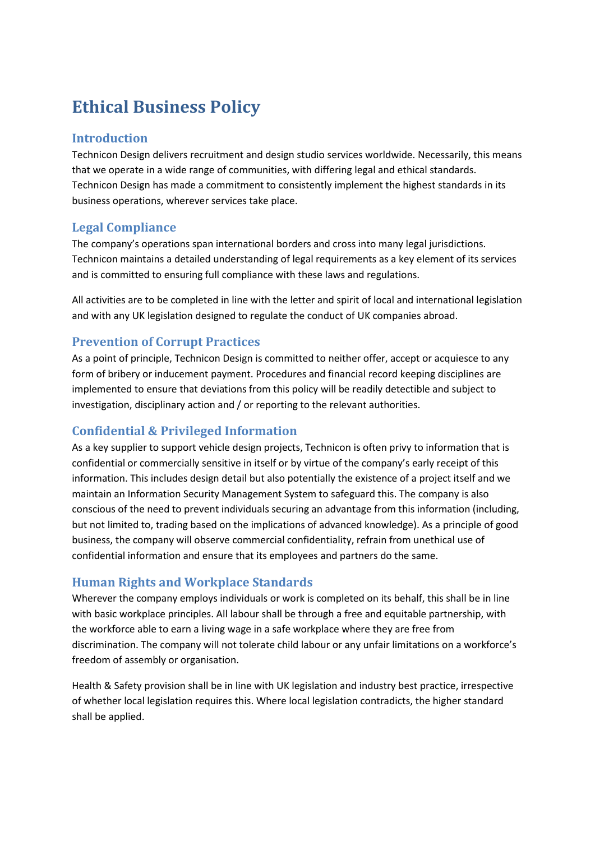# **Ethical Business Policy**

#### **Introduction**

Technicon Design delivers recruitment and design studio services worldwide. Necessarily, this means that we operate in a wide range of communities, with differing legal and ethical standards. Technicon Design has made a commitment to consistently implement the highest standards in its business operations, wherever services take place.

# **Legal Compliance**

The company's operations span international borders and cross into many legal jurisdictions. Technicon maintains a detailed understanding of legal requirements as a key element of its services and is committed to ensuring full compliance with these laws and regulations.

All activities are to be completed in line with the letter and spirit of local and international legislation and with any UK legislation designed to regulate the conduct of UK companies abroad.

# **Prevention of Corrupt Practices**

As a point of principle, Technicon Design is committed to neither offer, accept or acquiesce to any form of bribery or inducement payment. Procedures and financial record keeping disciplines are implemented to ensure that deviations from this policy will be readily detectible and subject to investigation, disciplinary action and / or reporting to the relevant authorities.

# **Confidential & Privileged Information**

As a key supplier to support vehicle design projects, Technicon is often privy to information that is confidential or commercially sensitive in itself or by virtue of the company's early receipt of this information. This includes design detail but also potentially the existence of a project itself and we maintain an Information Security Management System to safeguard this. The company is also conscious of the need to prevent individuals securing an advantage from this information (including, but not limited to, trading based on the implications of advanced knowledge). As a principle of good business, the company will observe commercial confidentiality, refrain from unethical use of confidential information and ensure that its employees and partners do the same.

# **Human Rights and Workplace Standards**

Wherever the company employs individuals or work is completed on its behalf, this shall be in line with basic workplace principles. All labour shall be through a free and equitable partnership, with the workforce able to earn a living wage in a safe workplace where they are free from discrimination. The company will not tolerate child labour or any unfair limitations on a workforce's freedom of assembly or organisation.

Health & Safety provision shall be in line with UK legislation and industry best practice, irrespective of whether local legislation requires this. Where local legislation contradicts, the higher standard shall be applied.